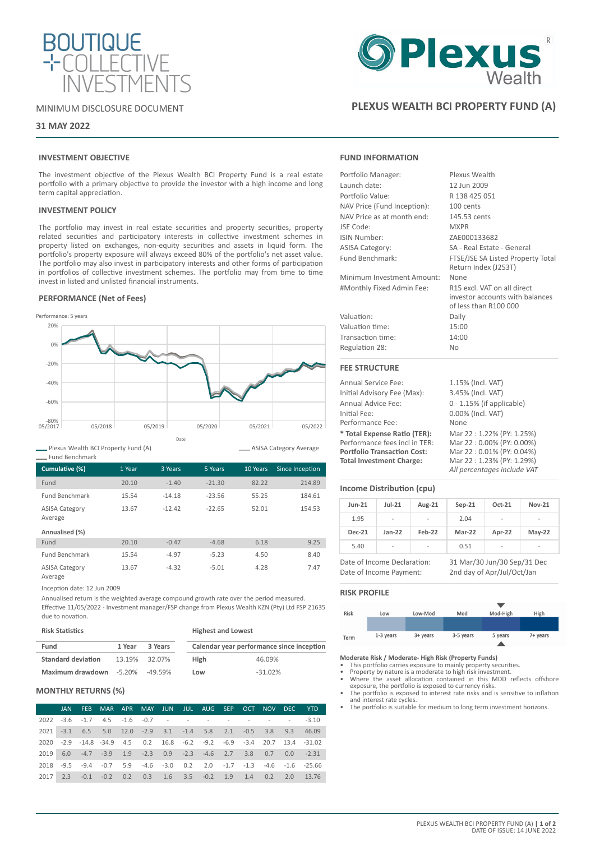

# MINIMUM DISCLOSURE DOCUMENT

# **31 MAY 2022**

# **INVESTMENT OBJECTIVE**

The investment objective of the Plexus Wealth BCI Property Fund is a real estate portfolio with a primary objective to provide the investor with a high income and long term capital appreciation.

## **INVESTMENT POLICY**

The portfolio may invest in real estate securities and property securities, property related securities and participatory interests in collective investment schemes in property listed on exchanges, non-equity securities and assets in liquid form. The portfolio's property exposure will always exceed 80% of the portfolio's net asset value. The portfolio may also invest in participatory interests and other forms of participation in portfolios of collective investment schemes. The portfolio may from time to time invest in listed and unlisted financial instruments.

## **PERFORMANCE (Net of Fees)**



Plexus Wealth BCI Property Fund (A)

| - Fund Benchmark                 |        |          |          |          |                 |
|----------------------------------|--------|----------|----------|----------|-----------------|
| Cumulative (%)                   | 1 Year | 3 Years  | 5 Years  | 10 Years | Since Inception |
| Fund                             | 20.10  | $-1.40$  | $-21.30$ | 82.22    | 214.89          |
| <b>Fund Benchmark</b>            | 15.54  | $-14.18$ | $-23.56$ | 55.25    | 184.61          |
| <b>ASISA Category</b><br>Average | 13.67  | $-12.42$ | $-22.65$ | 52.01    | 154.53          |
| Annualised (%)                   |        |          |          |          |                 |
| Fund                             | 20.10  | $-0.47$  | $-4.68$  | 6.18     | 9.25            |
| <b>Fund Benchmark</b>            | 15.54  | $-4.97$  | $-5.23$  | 4.50     | 8.40            |
| <b>ASISA Category</b>            | 13.67  | $-4.32$  | $-5.01$  | 4.28     | 7.47            |

Average

Inception date: 12 Jun 2009

Annualised return is the weighted average compound growth rate over the period measured. Effective 11/05/2022 - Investment manager/FSP change from Plexus Wealth KZN (Pty) Ltd FSP 21635 due to novation.

# **Risk Statistics**

| Fund                                   | 1 Year | 3 Years       |             | Calendar year performance since inception |
|----------------------------------------|--------|---------------|-------------|-------------------------------------------|
| <b>Standard deviation</b>              |        | 13.19% 32.07% | <b>High</b> | 46.09%                                    |
| <b>Maximum drawdown</b> -5.20% -49.59% |        |               | Low         | $-31.02%$                                 |

**Highest and Lowest**

## **MONTHLY RETURNS (%)**

|      | JAN | <b>FEB</b> |  |  | MAR APR MAY JUN JUL AUG SEP OCT                                 |  | NOV DEC YTD |                                                                                     |
|------|-----|------------|--|--|-----------------------------------------------------------------|--|-------------|-------------------------------------------------------------------------------------|
|      |     |            |  |  | $2022 - 3.6 - 1.7$ 4.5 $-1.6$ $-0.7$ $        -3.10$            |  |             |                                                                                     |
|      |     |            |  |  | 2021 -3.1 6.5 5.0 12.0 -2.9 3.1 -1.4 5.8 2.1 -0.5 3.8 9.3 46.09 |  |             |                                                                                     |
|      |     |            |  |  |                                                                 |  |             | 2020 -2.9 -14.8 -34.9 4.5 0.2 16.8 -6.2 -9.2 -6.9 -3.4 20.7 13.4 -31.02             |
|      |     |            |  |  | 2019 6.0 -4.7 -3.9 1.9 -2.3 0.9 -2.3 -4.6 2.7 3.8 0.7 0.0 -2.31 |  |             |                                                                                     |
| 2018 |     |            |  |  |                                                                 |  |             | $-9.5$ $-9.4$ $-0.7$ 5.9 $-4.6$ $-3.0$ 0.2 2.0 $-1.7$ $-1.3$ $-4.6$ $-1.6$ $-25.66$ |
| 2017 |     |            |  |  |                                                                 |  |             | 2.3 -0.1 -0.2 0.2 0.3 1.6 3.5 -0.2 1.9 1.4 0.2 2.0 13.76                            |

# **Plexus**

# **PLEXUS WEALTH BCI PROPERTY FUND (A)**

# **FUND INFORMATION**

| Portfolio Manager:          | Plexus Wealth                                                                           |
|-----------------------------|-----------------------------------------------------------------------------------------|
| Launch date:                | 12 Jun 2009                                                                             |
| Portfolio Value:            | R 138 425 051                                                                           |
| NAV Price (Fund Inception): | 100 cents                                                                               |
| NAV Price as at month end:  | 145.53 cents                                                                            |
| JSE Code:                   | <b>MXPR</b>                                                                             |
| ISIN Number:                | ZAE000133682                                                                            |
| <b>ASISA Category:</b>      | SA - Real Estate - General                                                              |
| Fund Benchmark:             | FTSE/JSE SA Listed Property Total<br>Return Index (J253T)                               |
| Minimum Investment Amount:  | None                                                                                    |
| #Monthly Fixed Admin Fee:   | R15 excl. VAT on all direct<br>investor accounts with balances<br>of less than R100 000 |
| Valuation:                  | Daily                                                                                   |
| Valuation time:             | 15:00                                                                                   |
| Transaction time:           | 14:00                                                                                   |
| Regulation 28:              | <b>No</b>                                                                               |
| <b>FEE STRUCTURE</b>        |                                                                                         |
| Annual Service Fee:         | 1.15% (Incl. VAT)                                                                       |
| Initial Advisory Fee (Max): | 3.45% (Incl. VAT)                                                                       |
| Annual Advice Fee:          | $0 - 1.15\%$ (if applicable)                                                            |

Initial Fee: 0.00% (Incl. VAT) Performance Fee: **\* Total Expense Ratio (TER):** Mar 22 : 1.22% (PY: 1.25%) Performance fees incl in TER: Mar 22 : 0.00% (PY: 0.00%)<br> **Portfolio Transaction Cost:** Mar 22 : 0.01% (PY: 0.04%) **Portfolio Transaction Cost:**<br>Total Investment Charge: *All percentages include VAT*

# **Income Distribution (cpu)**

| $Jun-21$      | $Jul-21$       | Aug-21 | $Sep-21$ | Oct-21                   | <b>Nov-21</b> |
|---------------|----------------|--------|----------|--------------------------|---------------|
| 1.95          | -              | -      | 2.04     | ۰                        | ۰             |
| <b>Dec-21</b> | $Jan-22$       | Feb-22 | Mar-22   | Apr-22                   | $May-22$      |
| 5.40          | $\overline{a}$ | -      | 0.51     | $\overline{\phantom{a}}$ | ۰             |

Date of Income Declaration: 31 Mar/30 Jun/30 Sep/31 Dec Date of Income Payment: 2nd day of Apr/Jul/Oct/Jan

**Total Investment Charge:** Mar 22 : 1.23% (PY: 1.29%)

## **RISK PROFILE**

ASISA Category Average



# **Moderate Risk / Moderate- High Risk (Property Funds)** • This portfolio carries exposure to mainly property securities.

- 
- Property by nature is a moderate to high risk investment. Where the asset allocation contained in this MDD reflects offshore
- exposure, the portfolio is exposed to currency risks. • The portfolio is exposed to interest rate risks and is sensitive to inflation
- and interest rate cycles. The portfolio is suitable for medium to long term investment horizons.

PLEXUS WEALTH BCI PROPERTY FUND (A) **| 1 of 2** DATE OF ISSUE: 14 JUNE 2022